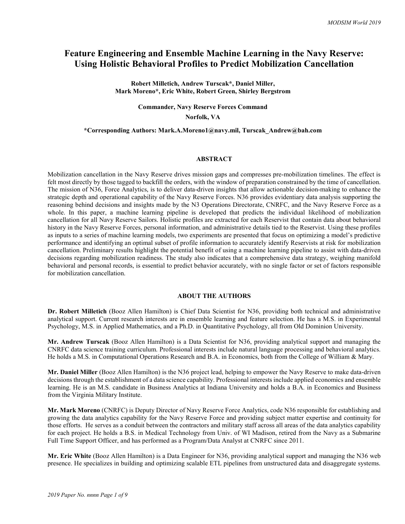# Feature Engineering and Ensemble Machine Learning in the Navy Reserve: Using Holistic Behavioral Profiles to Predict Mobilization Cancellation

Robert Milletich, Andrew Turscak\*, Daniel Miller, Mark Moreno\*, Eric White, Robert Green, Shirley Bergstrom

Commander, Navy Reserve Forces Command

Norfolk, VA

#### \*Corresponding Authors: Mark.A.Moreno1@navy.mil, Turscak\_Andrew@bah.com

#### ABSTRACT

Mobilization cancellation in the Navy Reserve drives mission gaps and compresses pre-mobilization timelines. The effect is felt most directly by those tagged to backfill the orders, with the window of preparation constrained by the time of cancellation. The mission of N36, Force Analytics, is to deliver data-driven insights that allow actionable decision-making to enhance the strategic depth and operational capability of the Navy Reserve Forces. N36 provides evidentiary data analysis supporting the reasoning behind decisions and insights made by the N3 Operations Directorate, CNRFC, and the Navy Reserve Force as a whole. In this paper, a machine learning pipeline is developed that predicts the individual likelihood of mobilization cancellation for all Navy Reserve Sailors. Holistic profiles are extracted for each Reservist that contain data about behavioral history in the Navy Reserve Forces, personal information, and administrative details tied to the Reservist. Using these profiles as inputs to a series of machine learning models, two experiments are presented that focus on optimizing a model's predictive performance and identifying an optimal subset of profile information to accurately identify Reservists at risk for mobilization cancellation. Preliminary results highlight the potential benefit of using a machine learning pipeline to assist with data-driven decisions regarding mobilization readiness. The study also indicates that a comprehensive data strategy, weighing manifold behavioral and personal records, is essential to predict behavior accurately, with no single factor or set of factors responsible for mobilization cancellation.

#### ABOUT THE AUTHORS

Dr. Robert Milletich (Booz Allen Hamilton) is Chief Data Scientist for N36, providing both technical and administrative analytical support. Current research interests are in ensemble learning and feature selection. He has a M.S. in Experimental Psychology, M.S. in Applied Mathematics, and a Ph.D. in Quantitative Psychology, all from Old Dominion University.

Mr. Andrew Turscak (Booz Allen Hamilton) is a Data Scientist for N36, providing analytical support and managing the CNRFC data science training curriculum. Professional interests include natural language processing and behavioral analytics. He holds a M.S. in Computational Operations Research and B.A. in Economics, both from the College of William & Mary.

Mr. Daniel Miller (Booz Allen Hamilton) is the N36 project lead, helping to empower the Navy Reserve to make data-driven decisions through the establishment of a data science capability. Professional interests include applied economics and ensemble learning. He is an M.S. candidate in Business Analytics at Indiana University and holds a B.A. in Economics and Business from the Virginia Military Institute.

Mr. Mark Moreno (CNRFC) is Deputy Director of Navy Reserve Force Analytics, code N36 responsible for establishing and growing the data analytics capability for the Navy Reserve Force and providing subject matter expertise and continuity for those efforts. He serves as a conduit between the contractors and military staff across all areas of the data analytics capability for each project. He holds a B.S. in Medical Technology from Univ. of WI Madison, retired from the Navy as a Submarine Full Time Support Officer, and has performed as a Program/Data Analyst at CNRFC since 2011.

Mr. Eric White (Booz Allen Hamilton) is a Data Engineer for N36, providing analytical support and managing the N36 web presence. He specializes in building and optimizing scalable ETL pipelines from unstructured data and disaggregate systems.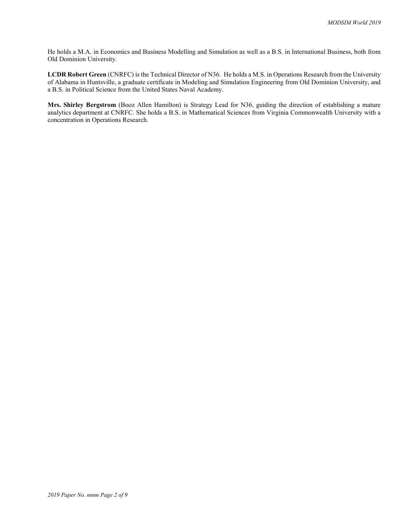He holds a M.A. in Economics and Business Modelling and Simulation as well as a B.S. in International Business, both from Old Dominion University.

LCDR Robert Green (CNRFC) is the Technical Director of N36. He holds a M.S. in Operations Research from the University of Alabama in Huntsville, a graduate certificate in Modeling and Simulation Engineering from Old Dominion University, and a B.S. in Political Science from the United States Naval Academy.

Mrs. Shirley Bergstrom (Booz Allen Hamilton) is Strategy Lead for N36, guiding the direction of establishing a mature analytics department at CNRFC. She holds a B.S. in Mathematical Sciences from Virginia Commonwealth University with a concentration in Operations Research.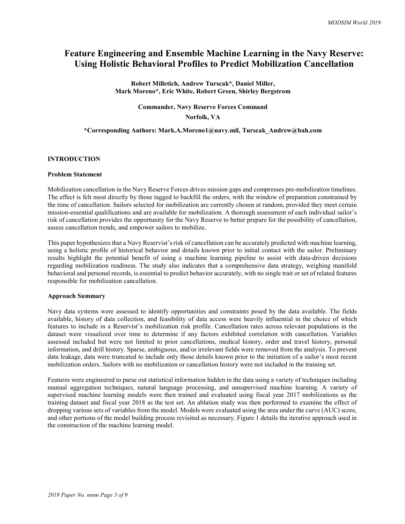# Feature Engineering and Ensemble Machine Learning in the Navy Reserve: Using Holistic Behavioral Profiles to Predict Mobilization Cancellation

Robert Milletich, Andrew Turscak\*, Daniel Miller, Mark Moreno\*, Eric White, Robert Green, Shirley Bergstrom

### Commander, Navy Reserve Forces Command

Norfolk, VA

### \*Corresponding Authors: Mark.A.Moreno1@navy.mil, Turscak\_Andrew@bah.com

### INTRODUCTION

### Problem Statement

Mobilization cancellation in the Navy Reserve Forces drives mission gaps and compresses pre-mobilization timelines. The effect is felt most directly by those tagged to backfill the orders, with the window of preparation constrained by the time of cancellation. Sailors selected for mobilization are currently chosen at random, provided they meet certain mission-essential qualifications and are available for mobilization. A thorough assessment of each individual sailor's risk of cancellation provides the opportunity for the Navy Reserve to better prepare for the possibility of cancellation, assess cancellation trends, and empower sailors to mobilize.

This paper hypothesizes that a Navy Reservist's risk of cancellation can be accurately predicted with machine learning, using a holistic profile of historical behavior and details known prior to initial contact with the sailor. Preliminary results highlight the potential benefit of using a machine learning pipeline to assist with data-driven decisions regarding mobilization readiness. The study also indicates that a comprehensive data strategy, weighing manifold behavioral and personal records, is essential to predict behavior accurately, with no single trait or set of related features responsible for mobilization cancellation.

### Approach Summary

Navy data systems were assessed to identify opportunities and constraints posed by the data available. The fields available, history of data collection, and feasibility of data access were heavily influential in the choice of which features to include in a Reservist's mobilization risk profile. Cancellation rates across relevant populations in the dataset were visualized over time to determine if any factors exhibited correlation with cancellation. Variables assessed included but were not limited to prior cancellations, medical history, order and travel history, personal information, and drill history. Sparse, ambiguous, and/or irrelevant fields were removed from the analysis. To prevent data leakage, data were truncated to include only those details known prior to the initiation of a sailor's most recent mobilization orders. Sailors with no mobilization or cancellation history were not included in the training set.

Features were engineered to parse out statistical information hidden in the data using a variety of techniques including manual aggregation techniques, natural language processing, and unsupervised machine learning. A variety of supervised machine learning models were then trained and evaluated using fiscal year 2017 mobilizations as the training dataset and fiscal year 2018 as the test set. An ablation study was then performed to examine the effect of dropping various sets of variables from the model. Models were evaluated using the area under the curve (AUC) score, and other portions of the model building process revisited as necessary. Figure 1 details the iterative approach used in the construction of the machine learning model.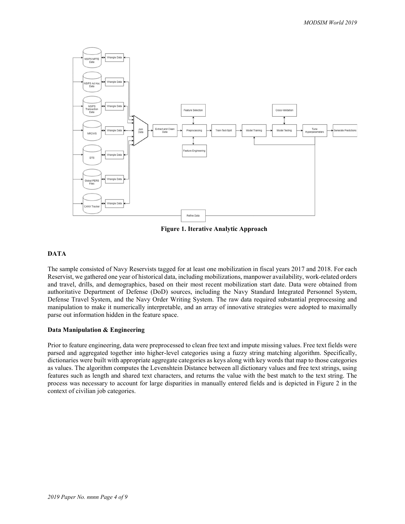

Figure 1. Iterative Analytic Approach

## DATA

The sample consisted of Navy Reservists tagged for at least one mobilization in fiscal years 2017 and 2018. For each Reservist, we gathered one year of historical data, including mobilizations, manpower availability, work-related orders and travel, drills, and demographics, based on their most recent mobilization start date. Data were obtained from authoritative Department of Defense (DoD) sources, including the Navy Standard Integrated Personnel System, Defense Travel System, and the Navy Order Writing System. The raw data required substantial preprocessing and manipulation to make it numerically interpretable, and an array of innovative strategies were adopted to maximally parse out information hidden in the feature space.

### Data Manipulation & Engineering

Prior to feature engineering, data were preprocessed to clean free text and impute missing values. Free text fields were parsed and aggregated together into higher-level categories using a fuzzy string matching algorithm. Specifically, dictionaries were built with appropriate aggregate categories as keys along with key words that map to those categories as values. The algorithm computes the Levenshtein Distance between all dictionary values and free text strings, using features such as length and shared text characters, and returns the value with the best match to the text string. The process was necessary to account for large disparities in manually entered fields and is depicted in Figure 2 in the context of civilian job categories.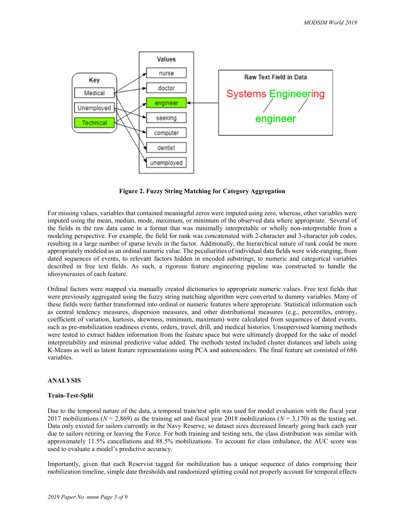

Figure 2. Fuzzy String Matching for Category Aggregation

For missing values, variables that contained meaningful zeros were imputed using zero, whereas, other variables were imputed using the mean, median, mode, maximum, or minimum of the observed data where appropriate. Several of the fields in the raw data came in a format that was minimally interpretable or wholly non-interpretable from a modeling perspective. For example, the field for rank was concatenated with 2-character and 3-character job codes, resulting in a large number of sparse levels in the factor. Additionally, the hierarchical nature of rank could be more appropriately modeled as an ordinal numeric value. The peculiarities of individual data fields were wide-ranging, from dated sequences of events, to relevant factors hidden in encoded substrings, to numeric and categorical variables described in free text fields. As such, a rigorous feature engineering pipeline was constructed to handle the idiosyncrasies of each feature.

Ordinal factors were mapped via manually created dictionaries to appropriate numeric values. Free text fields that were previously aggregated using the fuzzy string matching algorithm were converted to dummy variables. Many of these fields were further transformed into ordinal or numeric features where appropriate. Statistical information such as central tendency measures, dispersion measures, and other distributional measures (e.g., percentiles, entropy, coefficient of variation, kurtosis, skewness, minimum, maximum) were calculated from sequences of dated events, such as pre-mobilization readiness events, orders, travel, drill, and medical histories. Unsupervised learning methods were tested to extract hidden information from the feature space but were ultimately dropped for the sake of model interpretability and minimal predictive value added. The methods tested included cluster distances and labels using K-Means as well as latent feature representations using PCA and autoencoders. The final feature set consisted of 686 variables.

### ANALYSIS

### Train-Test-Split

Due to the temporal nature of the data, a temporal train/test split was used for model evaluation with the fiscal year 2017 mobilizations ( $N = 2,869$ ) as the training set and fiscal year 2018 mobilizations ( $N = 3,170$ ) as the testing set. Data only existed for sailors currently in the Navy Reserve, so dataset sizes decreased linearly going back each year due to sailors retiring or leaving the Force. For both training and testing sets, the class distribution was similar with approximately 11.5% cancellations and 88.5% mobilizations. To account for class imbalance, the AUC score was used to evaluate a model's predictive accuracy.

Importantly, given that each Reservist tagged for mobilization has a unique sequence of dates comprising their mobilization timeline, simple date thresholds and randomized splitting could not properly account for temporal effects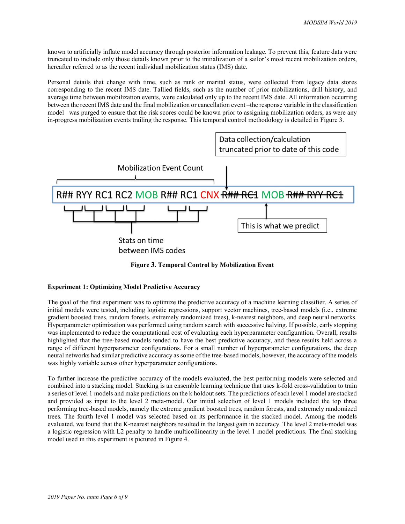known to artificially inflate model accuracy through posterior information leakage. To prevent this, feature data were truncated to include only those details known prior to the initialization of a sailor's most recent mobilization orders, hereafter referred to as the recent individual mobilization status (IMS) date.

Personal details that change with time, such as rank or marital status, were collected from legacy data stores corresponding to the recent IMS date. Tallied fields, such as the number of prior mobilizations, drill history, and average time between mobilization events, were calculated only up to the recent IMS date. All information occurring between the recent IMS date and the final mobilization or cancellation event –the response variable in the classification model– was purged to ensure that the risk scores could be known prior to assigning mobilization orders, as were any in-progress mobilization events trailing the response. This temporal control methodology is detailed in Figure 3.



Figure 3. Temporal Control by Mobilization Event

## Experiment 1: Optimizing Model Predictive Accuracy

The goal of the first experiment was to optimize the predictive accuracy of a machine learning classifier. A series of initial models were tested, including logistic regressions, support vector machines, tree-based models (i.e., extreme gradient boosted trees, random forests, extremely randomized trees), k-nearest neighbors, and deep neural networks. Hyperparameter optimization was performed using random search with successive halving. If possible, early stopping was implemented to reduce the computational cost of evaluating each hyperparameter configuration. Overall, results highlighted that the tree-based models tended to have the best predictive accuracy, and these results held across a range of different hyperparameter configurations. For a small number of hyperparameter configurations, the deep neural networks had similar predictive accuracy as some of the tree-based models, however, the accuracy of the models was highly variable across other hyperparameter configurations.

To further increase the predictive accuracy of the models evaluated, the best performing models were selected and combined into a stacking model. Stacking is an ensemble learning technique that uses k-fold cross-validation to train a series of level 1 models and make predictions on the k holdout sets. The predictions of each level 1 model are stacked and provided as input to the level 2 meta-model. Our initial selection of level 1 models included the top three performing tree-based models, namely the extreme gradient boosted trees, random forests, and extremely randomized trees. The fourth level 1 model was selected based on its performance in the stacked model. Among the models evaluated, we found that the K-nearest neighbors resulted in the largest gain in accuracy. The level 2 meta-model was a logistic regression with L2 penalty to handle multicollinearity in the level 1 model predictions. The final stacking model used in this experiment is pictured in Figure 4.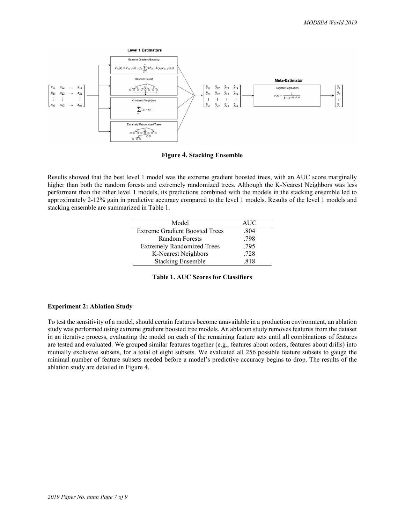

Figure 4. Stacking Ensemble

Results showed that the best level 1 model was the extreme gradient boosted trees, with an AUC score marginally higher than both the random forests and extremely randomized trees. Although the K-Nearest Neighbors was less performant than the other level 1 models, its predictions combined with the models in the stacking ensemble led to approximately 2-12% gain in predictive accuracy compared to the level 1 models. Results of the level 1 models and stacking ensemble are summarized in Table 1.

| Model                                 | AUC  |
|---------------------------------------|------|
| <b>Extreme Gradient Boosted Trees</b> | .804 |
| Random Forests                        | .798 |
| <b>Extremely Randomized Trees</b>     | .795 |
| K-Nearest Neighbors                   | .728 |
| <b>Stacking Ensemble</b>              | 818  |

Table 1. AUC Scores for Classifiers

### Experiment 2: Ablation Study

To test the sensitivity of a model, should certain features become unavailable in a production environment, an ablation study was performed using extreme gradient boosted tree models. An ablation study removes features from the dataset in an iterative process, evaluating the model on each of the remaining feature sets until all combinations of features are tested and evaluated. We grouped similar features together (e.g., features about orders, features about drills) into mutually exclusive subsets, for a total of eight subsets. We evaluated all 256 possible feature subsets to gauge the minimal number of feature subsets needed before a model's predictive accuracy begins to drop. The results of the ablation study are detailed in Figure 4.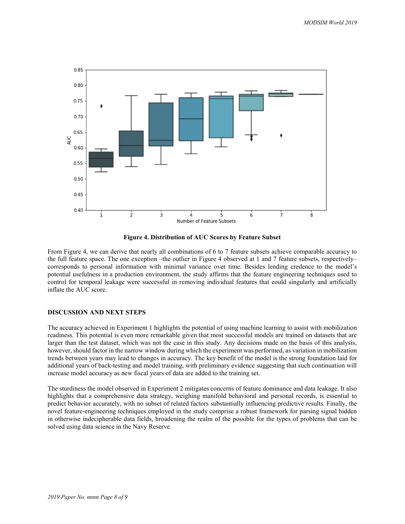

Figure 4. Distribution of AUC Scores by Feature Subset

From Figure 4, we can derive that nearly all combinations of 6 to 7 feature subsets achieve comparable accuracy to the full feature space. The one exception –the outlier in Figure 4 observed at 1 and 7 feature subsets, respectively– corresponds to personal information with minimal variance over time. Besides lending credence to the model's potential usefulness in a production environment, the study affirms that the feature engineering techniques used to control for temporal leakage were successful in removing individual features that could singularly and artificially inflate the AUC score.

#### DISCUSSION AND NEXT STEPS

The accuracy achieved in Experiment 1 highlights the potential of using machine learning to assist with mobilization readiness. This potential is even more remarkable given that most successful models are trained on datasets that are larger than the test dataset, which was not the case in this study. Any decisions made on the basis of this analysis, however, should factor in the narrow window during which the experiment was performed, as variation in mobilization trends between years may lead to changes in accuracy. The key benefit of the model is the strong foundation laid for additional years of back-testing and model training, with preliminary evidence suggesting that such continuation will increase model accuracy as new fiscal years of data are added to the training set.

The sturdiness the model observed in Experiment 2 mitigates concerns of feature dominance and data leakage. It also highlights that a comprehensive data strategy, weighing manifold behavioral and personal records, is essential to predict behavior accurately, with no subset of related factors substantially influencing predictive results. Finally, the novel feature-engineering techniques employed in the study comprise a robust framework for parsing signal hidden in otherwise indecipherable data fields, broadening the realm of the possible for the types of problems that can be solved using data science in the Navy Reserve.